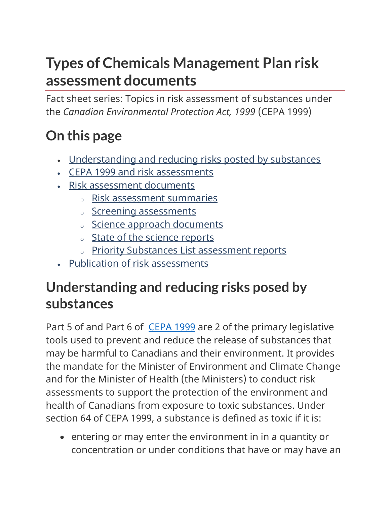# **Types of Chemicals Management Plan risk assessment documents**

Fact sheet series: Topics in risk assessment of substances under the *Canadian Environmental Protection Act, 1999* (CEPA 1999)

# **On this page**

- [Understanding and reducing risks posted by substances](https://www.canada.ca/en/health-canada/services/chemical-substances/fact-sheets/assessing-exposure-canadians-environment-substances-products.html#s1)
- CEPA 1999 and risk assessments
- Risk assessment documents
	- <sup>o</sup> Risk assessment summaries
	- <sup>o</sup> Screening assessments
	- <sup>o</sup> Science approach documents
	- o State of the science reports
	- o Priority Substances List assessment reports
- Publication of risk assessments

### **Understanding and reducing risks posed by substances**

Part 5 of and Part 6 of [CEPA 1999](https://www.canada.ca/en/environment-climate-change/services/canadian-environmental-protection-act-registry/related-documents.html) are 2 of the primary legislative tools used to prevent and reduce the release of substances that may be harmful to Canadians and their environment. It provides the mandate for the Minister of Environment and Climate Change and for the Minister of Health (the Ministers) to conduct risk assessments to support the protection of the environment and health of Canadians from exposure to toxic substances. Under section 64 of CEPA 1999, a substance is defined as toxic if it is:

 entering or may enter the environment in in a quantity or concentration or under conditions that have or may have an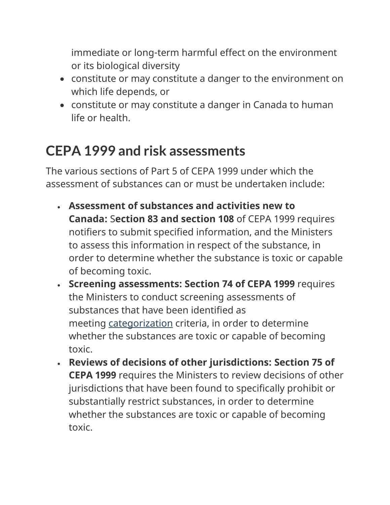immediate or long-term harmful effect on the environment or its biological diversity

- constitute or may constitute a danger to the environment on which life depends, or
- constitute or may constitute a danger in Canada to human life or health.

## **CEPA 1999 and risk assessments**

The various sections of Part 5 of CEPA 1999 under which the assessment of substances can or must be undertaken include:

- **Assessment of substances and activities new to Canada:** S**ection 83 and section 108** of CEPA 1999 requires notifiers to submit specified information, and the Ministers to assess this information in respect of the substance, in order to determine whether the substance is toxic or capable of becoming toxic.
- **Screening assessments: Section 74 of CEPA 1999** requires the Ministers to conduct screening assessments of substances that have been identified as meeting [categorization](https://www.canada.ca/en/health-canada/services/chemical-substances/chemical-substances-glossary.html#c) criteria, in order to determine whether the substances are toxic or capable of becoming toxic.
- **Reviews of decisions of other jurisdictions: Section 75 of CEPA 1999** requires the Ministers to review decisions of other jurisdictions that have been found to specifically prohibit or substantially restrict substances, in order to determine whether the substances are toxic or capable of becoming toxic.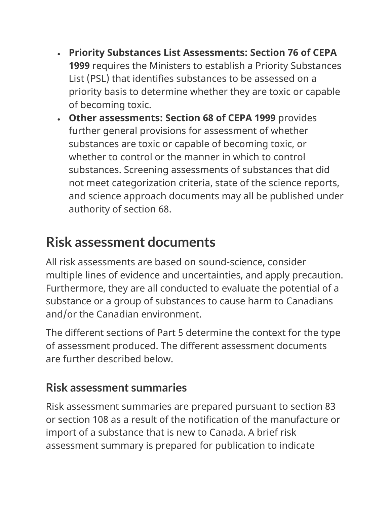- **Priority Substances List Assessments: Section 76 of CEPA 1999** requires the Ministers to establish a Priority Substances List (PSL) that identifies substances to be assessed on a priority basis to determine whether they are toxic or capable of becoming toxic.
- **Other assessments: Section 68 of CEPA 1999** provides further general provisions for assessment of whether substances are toxic or capable of becoming toxic, or whether to control or the manner in which to control substances. Screening assessments of substances that did not meet categorization criteria, state of the science reports, and science approach documents may all be published under authority of section 68.

## **Risk assessment documents**

All risk assessments are based on sound-science, consider multiple lines of evidence and uncertainties, and apply precaution. Furthermore, they are all conducted to evaluate the potential of a substance or a group of substances to cause harm to Canadians and/or the Canadian environment.

The different sections of Part 5 determine the context for the type of assessment produced. The different assessment documents are further described below.

#### **Risk assessment summaries**

Risk assessment summaries are prepared pursuant to section 83 or section 108 as a result of the notification of the manufacture or import of a substance that is new to Canada. A brief risk assessment summary is prepared for publication to indicate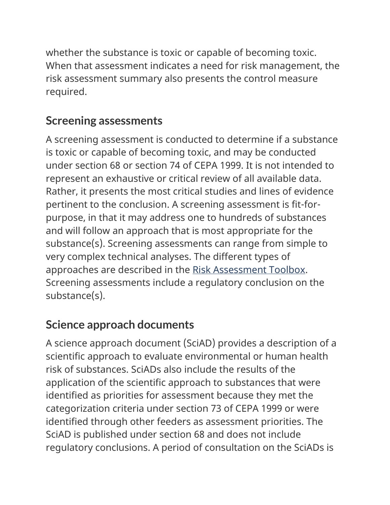whether the substance is toxic or capable of becoming toxic. When that assessment indicates a need for risk management, the risk assessment summary also presents the control measure required.

#### **Screening assessments**

A screening assessment is conducted to determine if a substance is toxic or capable of becoming toxic, and may be conducted under section 68 or section 74 of CEPA 1999. It is not intended to represent an exhaustive or critical review of all available data. Rather, it presents the most critical studies and lines of evidence pertinent to the conclusion. A screening assessment is fit-forpurpose, in that it may address one to hundreds of substances and will follow an approach that is most appropriate for the substance(s). Screening assessments can range from simple to very complex technical analyses. The different types of approaches are described in the [Risk Assessment Toolbox.](https://www.canada.ca/en/health-canada/services/chemical-substances/fact-sheets/chemicals-management-plan-risk-assessment-toolbox.html) Screening assessments include a regulatory conclusion on the substance(s).

### **Science approach documents**

A science approach document (SciAD) provides a description of a scientific approach to evaluate environmental or human health risk of substances. SciADs also include the results of the application of the scientific approach to substances that were identified as priorities for assessment because they met the categorization criteria under section 73 of CEPA 1999 or were identified through other feeders as assessment priorities. The SciAD is published under section 68 and does not include regulatory conclusions. A period of consultation on the SciADs is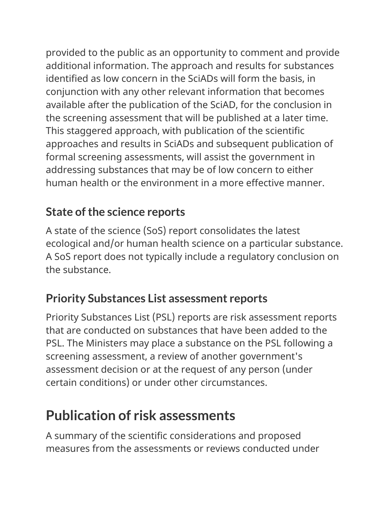provided to the public as an opportunity to comment and provide additional information. The approach and results for substances identified as low concern in the SciADs will form the basis, in conjunction with any other relevant information that becomes available after the publication of the SciAD, for the conclusion in the screening assessment that will be published at a later time. This staggered approach, with publication of the scientific approaches and results in SciADs and subsequent publication of formal screening assessments, will assist the government in addressing substances that may be of low concern to either human health or the environment in a more effective manner.

#### **State of the science reports**

A state of the science (SoS) report consolidates the latest ecological and/or human health science on a particular substance. A SoS report does not typically include a regulatory conclusion on the substance.

#### **Priority Substances List assessment reports**

Priority Substances List (PSL) reports are risk assessment reports that are conducted on substances that have been added to the PSL. The Ministers may place a substance on the PSL following a screening assessment, a review of another government's assessment decision or at the request of any person (under certain conditions) or under other circumstances.

## **Publication of risk assessments**

A summary of the scientific considerations and proposed measures from the assessments or reviews conducted under